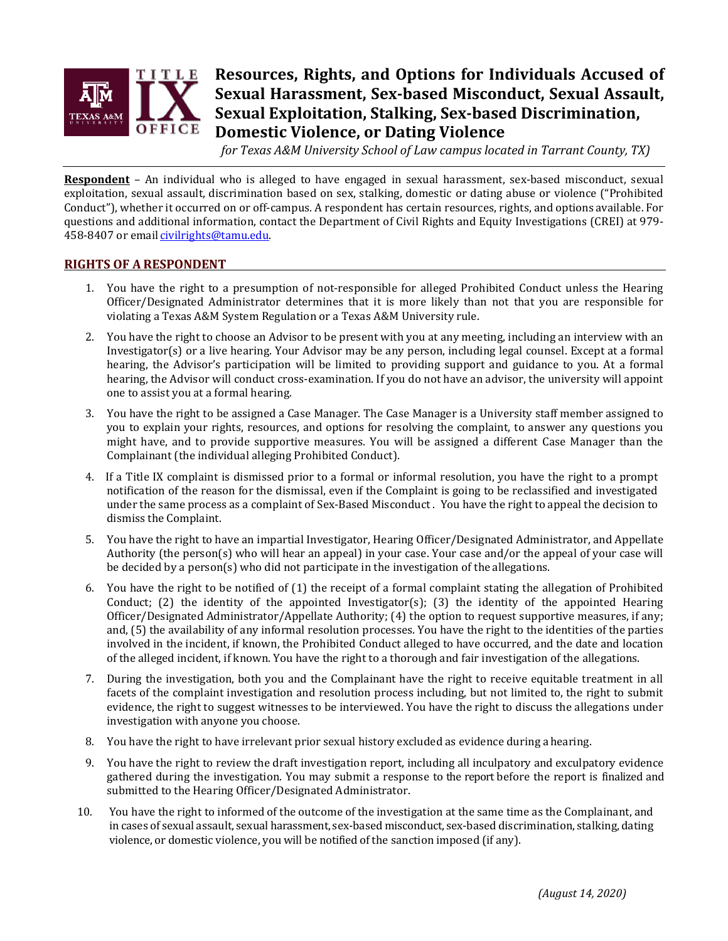

# **Resources, Rights, and Options for Individuals Accused of Sexual Harassment, Sex-based Misconduct, Sexual Assault, Sexual Exploitation, Stalking, Sex-based Discrimination, Domestic Violence, or Dating Violence**

*for Texas A&M University School of Law campus located in Tarrant County, TX)*

**Respondent** – An individual who is alleged to have engaged in sexual harassment, sex-based misconduct, sexual exploitation, sexual assault, discrimination based on sex, stalking, domestic or dating abuse or violence ("Prohibited Conduct"), whether it occurred on or off-campus. A respondent has certain resources, rights, and options available. For questions and additional information, contact the Department of Civil Rights and Equity Investigations (CREI) at 979- 458-8407 or email [civilrights@tamu.edu.](mailto:civilrights@tamu.edu)

## **RIGHTS OF A RESPONDENT**

- 1. You have the right to a presumption of not-responsible for alleged Prohibited Conduct unless the Hearing Officer/Designated Administrator determines that it is more likely than not that you are responsible for violating a Texas A&M System Regulation or a Texas A&M University rule.
- 2. You have the right to choose an Advisor to be present with you at any meeting, including an interview with an Investigator(s) or a live hearing. Your Advisor may be any person, including legal counsel. Except at a formal hearing, the Advisor's participation will be limited to providing support and guidance to you. At a formal hearing, the Advisor will conduct cross-examination. If you do not have an advisor, the university will appoint one to assist you at a formal hearing.
- 3. You have the right to be assigned a Case Manager. The Case Manager is a University staff member assigned to you to explain your rights, resources, and options for resolving the complaint, to answer any questions you might have, and to provide supportive measures. You will be assigned a different Case Manager than the Complainant (the individual alleging Prohibited Conduct).
- 4. If a Title IX complaint is dismissed prior to a formal or informal resolution, you have the right to a prompt notification of the reason for the dismissal, even if the Complaint is going to be reclassified and investigated under the same process as a complaint of Sex-Based Misconduct . You have the right to appeal the decision to dismiss the Complaint.
- 5. You have the right to have an impartial Investigator, Hearing Officer/Designated Administrator, and Appellate Authority (the person(s) who will hear an appeal) in your case. Your case and/or the appeal of your case will be decided by a person(s) who did not participate in the investigation of the allegations.
- 6. You have the right to be notified of (1) the receipt of a formal complaint stating the allegation of Prohibited Conduct; (2) the identity of the appointed Investigator(s); (3) the identity of the appointed Hearing Officer/Designated Administrator/Appellate Authority; (4) the option to request supportive measures, if any; and, (5) the availability of any informal resolution processes. You have the right to the identities of the parties involved in the incident, if known, the Prohibited Conduct alleged to have occurred, and the date and location of the alleged incident, if known. You have the right to a thorough and fair investigation of the allegations.
- 7. During the investigation, both you and the Complainant have the right to receive equitable treatment in all facets of the complaint investigation and resolution process including, but not limited to, the right to submit evidence, the right to suggest witnesses to be interviewed. You have the right to discuss the allegations under investigation with anyone you choose.
- 8. You have the right to have irrelevant prior sexual history excluded as evidence during ahearing.
- 9. You have the right to review the draft investigation report, including all inculpatory and exculpatory evidence gathered during the investigation. You may submit a response to the report before the report is finalized and submitted to the Hearing Officer/Designated Administrator.
- 10. You have the right to informed of the outcome of the investigation at the same time as the Complainant, and in cases of sexual assault, sexual harassment, sex-based misconduct, sex-based discrimination, stalking, dating violence, or domestic violence, you will be notified of the sanction imposed (if any).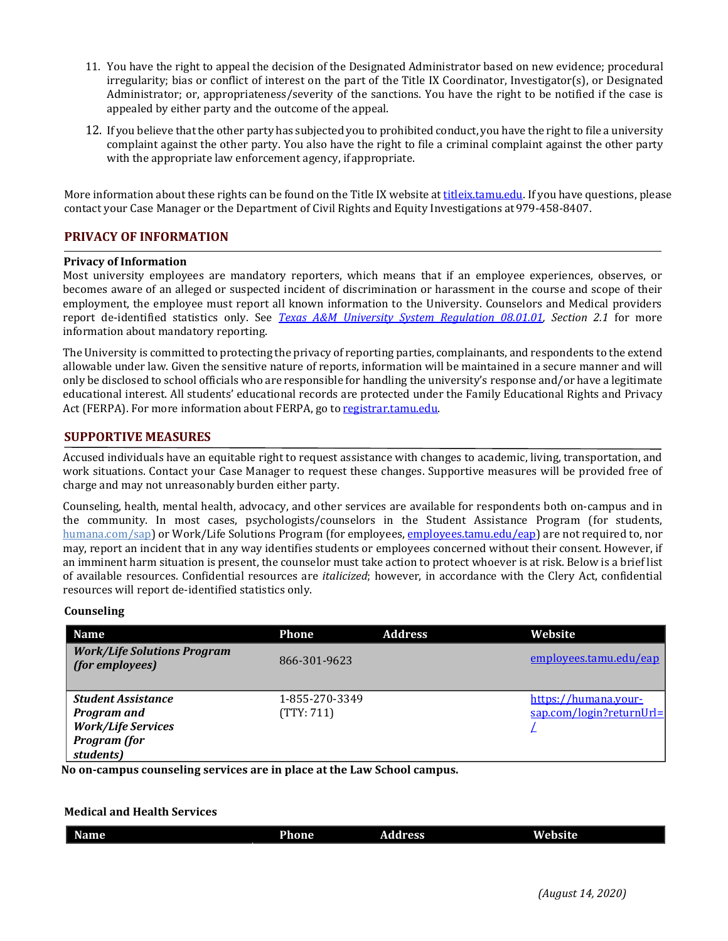- 11. You have the right to appeal the decision of the Designated Administrator based on new evidence; procedural irregularity; bias or conflict of interest on the part of the Title IX Coordinator, Investigator(s), or Designated Administrator; or, appropriateness/severity of the sanctions. You have the right to be notified if the case is appealed by either party and the outcome of the appeal.
- 12. If you believe that the other party has subjected you to prohibited conduct, you have the right to file a university complaint against the other party. You also have the right to file a criminal complaint against the other party with the appropriate law enforcement agency, ifappropriate.

More information about these rights can be found on the Title IX website at [titleix.tamu.edu. I](https://titleix.tamu.edu/)f you have questions, please contact your Case Manager or the Department of Civil Rights and Equity Investigations at979-458-8407.

# **PRIVACY OF INFORMATION**

#### **Privacy of Information**

Most university employees are mandatory reporters, which means that if an employee experiences, observes, or becomes aware of an alleged or suspected incident of discrimination or harassment in the course and scope of their employment, the employee must report all known information to the University. Counselors and Medical providers report de-identified statistics only. See *[Texas A&M University System Regulation 08.01.01,](https://policies.tamus.edu/08-01-01.pdf) Section 2.1* for more information about mandatory reporting.

The University is committed to protecting the privacy of reporting parties, complainants, and respondents to the extend allowable under law. Given the sensitive nature of reports, information will be maintained in a secure manner and will only be disclosed to school officials who are responsible for handling the university's response and/or have a legitimate educational interest. All students' educational records are protected under the Family Educational Rights and Privacy Act (FERPA). For more information about FERPA, go to [registrar.tamu.edu.](http://registrar.tamu.edu/)

#### **SUPPORTIVE MEASURES**

Accused individuals have an equitable right to request assistance with changes to academic, living, transportation, and work situations. Contact your Case Manager to request these changes. Supportive measures will be provided free of charge and may not unreasonably burden either party.

Counseling, health, mental health, advocacy, and other services are available for respondents both on-campus and in the community. In most cases, psychologists/counselors in the Student Assistance Program (for students, [humana.com/sap\)](http://www.humana.com/sap) or Work/Life Solutions Program (for employees, [employees.tamu.edu/eap\) a](http://employees.tamu.edu/eap)re not required to, nor may, report an incident that in any way identifies students or employees concerned without their consent. However, if an imminent harm situation is present, the counselor must take action to protect whoever is at risk. Below is a brief list of available resources. Confidential resources are *italicized*; however, in accordance with the Clery Act, confidential resources will report de-identified statistics only.

#### **Counseling**

| <b>Name</b>                                                                                                      | <b>Phone</b>                 | <b>Address</b> | Website                                             |
|------------------------------------------------------------------------------------------------------------------|------------------------------|----------------|-----------------------------------------------------|
| <b>Work/Life Solutions Program</b><br>(for employees)                                                            | 866-301-9623                 |                | employees.tamu.edu/eap                              |
| <b>Student Assistance</b><br><b>Program and</b><br><b>Work/Life Services</b><br><b>Program</b> (for<br>students) | 1-855-270-3349<br>(TTY: 711) |                | https://humana.your-<br>$s$ ap.com/login?returnUrl= |

**No on-campus counseling services are in place at the Law School campus.**

# **Medical and Health Services**

| $\sim$<br>Name | Phone | <b>Address</b> | .<br>Website |
|----------------|-------|----------------|--------------|
|                |       |                |              |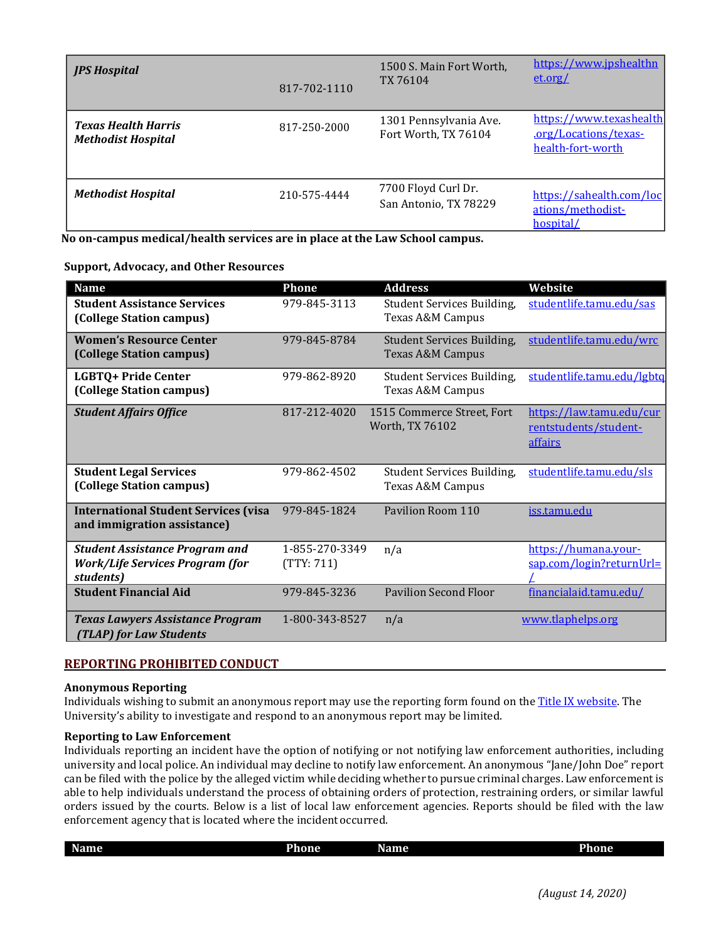| <b>JPS Hospital</b>                                     | 817-702-1110 | 1500 S. Main Fort Worth,<br>TX 76104           | https://www.jpshealthn<br>et.org/                                     |
|---------------------------------------------------------|--------------|------------------------------------------------|-----------------------------------------------------------------------|
| <b>Texas Health Harris</b><br><b>Methodist Hospital</b> | 817-250-2000 | 1301 Pennsylvania Ave.<br>Fort Worth, TX 76104 | https://www.texashealth<br>.org/Locations/texas-<br>health-fort-worth |
| <b>Methodist Hospital</b>                               | 210-575-4444 | 7700 Floyd Curl Dr.<br>San Antonio, TX 78229   | https://sahealth.com/loc<br>ations/methodist-<br>hospital/            |

**No on-campus medical/health services are in place at the Law School campus.**

#### **Support, Advocacy, and Other Resources**

| <b>Name</b>                                                                                  | Phone                        | <b>Address</b>                                                   | Website                                                      |
|----------------------------------------------------------------------------------------------|------------------------------|------------------------------------------------------------------|--------------------------------------------------------------|
| <b>Student Assistance Services</b><br>(College Station campus)                               | 979-845-3113                 | Student Services Building,<br>Texas A&M Campus                   | studentlife.tamu.edu/sas                                     |
| <b>Women's Resource Center</b><br>(College Station campus)                                   | 979-845-8784                 | <b>Student Services Building,</b><br><b>Texas A&amp;M Campus</b> | studentlife.tamu.edu/wrc                                     |
| LGBTQ+ Pride Center<br>(College Station campus)                                              | 979-862-8920                 | Student Services Building,<br>Texas A&M Campus                   | studentlife.tamu.edu/lgbtq                                   |
| <b>Student Affairs Office</b>                                                                | 817-212-4020                 | 1515 Commerce Street, Fort<br>Worth, TX 76102                    | https://law.tamu.edu/cur<br>rentstudents/student-<br>affairs |
| <b>Student Legal Services</b><br>(College Station campus)                                    | 979-862-4502                 | Student Services Building,<br>Texas A&M Campus                   | studentlife.tamu.edu/sls                                     |
| <b>International Student Services (visa</b><br>and immigration assistance)                   | 979-845-1824                 | Pavilion Room 110                                                | iss.tamu.edu                                                 |
| <b>Student Assistance Program and</b><br><b>Work/Life Services Program (for</b><br>students) | 1-855-270-3349<br>(TTY: 711) | n/a                                                              | https://humana.your-<br>sap.com/login?returnUrl=             |
| <b>Student Financial Aid</b>                                                                 | 979-845-3236                 | <b>Pavilion Second Floor</b>                                     | financialaid.tamu.edu/                                       |
| <b>Texas Lawyers Assistance Program</b><br><b>TLAP) for Law Students</b>                     | 1-800-343-8527               | n/a                                                              | www.tlaphelps.org                                            |

# **REPORTING PROHIBITED CONDUCT**

# **Anonymous Reporting**

Individuals wishing to submit an anonymous report may use the reporting form found on th[e Title IX website. T](https://titleix.tamu.edu/report/)he University's ability to investigate and respond to an anonymous report may be limited.

#### **Reporting to Law Enforcement**

Individuals reporting an incident have the option of notifying or not notifying law enforcement authorities, including university and local police. An individual may decline to notify law enforcement. An anonymous "Jane/John Doe" report can be filed with the police by the alleged victim while deciding whether to pursue criminal charges. Lawenforcement is able to help individuals understand the process of obtaining orders of protection, restraining orders, or similar lawful orders issued by the courts. Below is a list of local law enforcement agencies. Reports should be filed with the law enforcement agency that is located where the incident occurred.

| Name | Phone | --<br><b>Name</b> | Phone |
|------|-------|-------------------|-------|
|      |       |                   |       |